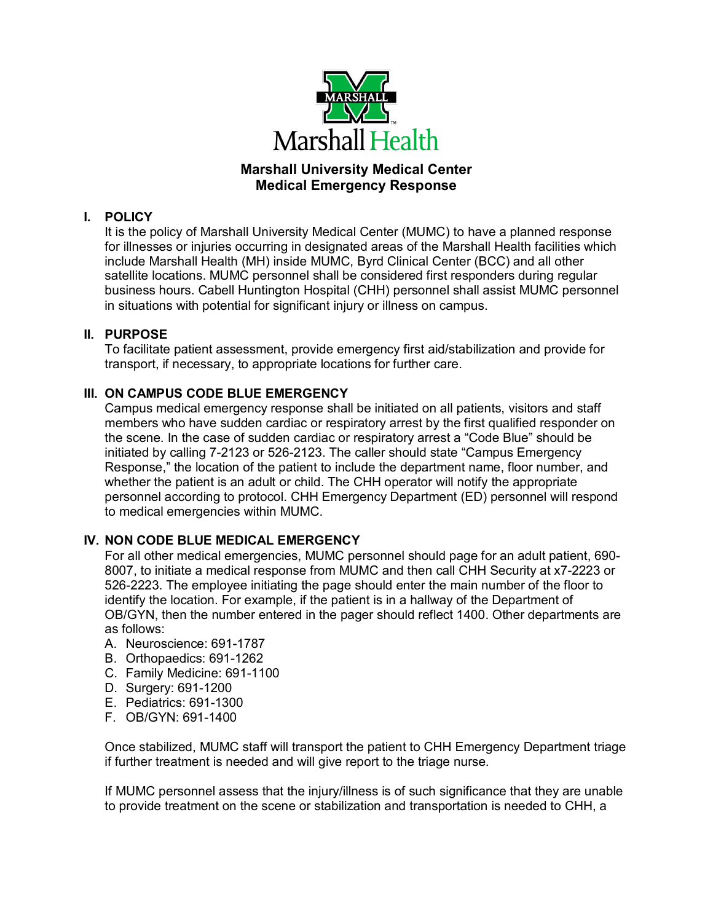

# **Marshall University Medical Center Medical Emergency Response**

## **I. POLICY**

It is the policy of Marshall University Medical Center (MUMC) to have a planned response for illnesses or injuries occurring in designated areas of the Marshall Health facilities which include Marshall Health (MH) inside MUMC, Byrd Clinical Center (BCC) and all other satellite locations. MUMC personnel shall be considered first responders during regular business hours. Cabell Huntington Hospital (CHH) personnel shall assist MUMC personnel in situations with potential for significant injury or illness on campus.

### **II. PURPOSE**

To facilitate patient assessment, provide emergency first aid/stabilization and provide for transport, if necessary, to appropriate locations for further care.

## **III. ON CAMPUS CODE BLUE EMERGENCY**

Campus medical emergency response shall be initiated on all patients, visitors and staff members who have sudden cardiac or respiratory arrest by the first qualified responder on the scene. In the case of sudden cardiac or respiratory arrest a "Code Blue" should be initiated by calling 7-2123 or 526-2123. The caller should state "Campus Emergency Response," the location of the patient to include the department name, floor number, and whether the patient is an adult or child. The CHH operator will notify the appropriate personnel according to protocol. CHH Emergency Department (ED) personnel will respond to medical emergencies within MUMC.

## **IV. NON CODE BLUE MEDICAL EMERGENCY**

For all other medical emergencies, MUMC personnel should page for an adult patient, 690- 8007, to initiate a medical response from MUMC and then call CHH Security at x7-2223 or 526-2223. The employee initiating the page should enter the main number of the floor to identify the location. For example, if the patient is in a hallway of the Department of OB/GYN, then the number entered in the pager should reflect 1400. Other departments are as follows:

- A. Neuroscience: 691-1787
- B. Orthopaedics: 691-1262
- C. Family Medicine: 691-1100
- D. Surgery: 691-1200
- E. Pediatrics: 691-1300
- F. OB/GYN: 691-1400

Once stabilized, MUMC staff will transport the patient to CHH Emergency Department triage if further treatment is needed and will give report to the triage nurse.

If MUMC personnel assess that the injury/illness is of such significance that they are unable to provide treatment on the scene or stabilization and transportation is needed to CHH, a